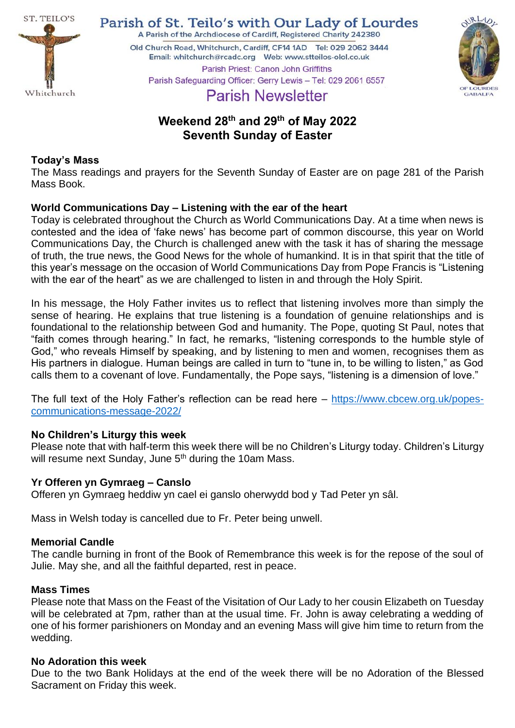

Parish of St. Teilo's with Our Lady of Lourdes A Parish of the Archdiocese of Cardiff, Registered Charity 242380

Old Church Road, Whitchurch, Cardiff, CF14 1AD Tel: 029 2062 3444 Parish Priest: Canon John Griffiths



# Parish Safeguarding Officer: Gerry Lewis - Tel: 029 2061 6557 **Parish Newsletter**

# **Weekend 28 th and 29 th of May 2022 Seventh Sunday of Easter**

### **Today's Mass**

The Mass readings and prayers for the Seventh Sunday of Easter are on page 281 of the Parish Mass Book.

## **World Communications Day – Listening with the ear of the heart**

Today is celebrated throughout the Church as World Communications Day. At a time when news is contested and the idea of 'fake news' has become part of common discourse, this year on World Communications Day, the Church is challenged anew with the task it has of sharing the message of truth, the true news, the Good News for the whole of humankind. It is in that spirit that the title of this year's message on the occasion of World Communications Day from Pope Francis is "Listening with the ear of the heart" as we are challenged to listen in and through the Holy Spirit.

In his message, the Holy Father invites us to reflect that listening involves more than simply the sense of hearing. He explains that true listening is a foundation of genuine relationships and is foundational to the relationship between God and humanity. The Pope, quoting St Paul, notes that "faith comes through hearing." In fact, he remarks, "listening corresponds to the humble style of God," who reveals Himself by speaking, and by listening to men and women, recognises them as His partners in dialogue. Human beings are called in turn to "tune in, to be willing to listen," as God calls them to a covenant of love. Fundamentally, the Pope says, "listening is a dimension of love."

The full text of the Holy Father's reflection can be read here – [https://www.cbcew.org.uk/popes](https://www.cbcew.org.uk/popes-communications-message-2022/)[communications-message-2022/](https://www.cbcew.org.uk/popes-communications-message-2022/)

## **No Children's Liturgy this week**

Please note that with half-term this week there will be no Children's Liturgy today. Children's Liturgy will resume next Sunday, June 5<sup>th</sup> during the 10am Mass.

### **Yr Offeren yn Gymraeg – Canslo**

Offeren yn Gymraeg heddiw yn cael ei ganslo oherwydd bod y Tad Peter yn sâl.

Mass in Welsh today is cancelled due to Fr. Peter being unwell.

### **Memorial Candle**

The candle burning in front of the Book of Remembrance this week is for the repose of the soul of Julie. May she, and all the faithful departed, rest in peace.

### **Mass Times**

Please note that Mass on the Feast of the Visitation of Our Lady to her cousin Elizabeth on Tuesday will be celebrated at 7pm, rather than at the usual time. Fr. John is away celebrating a wedding of one of his former parishioners on Monday and an evening Mass will give him time to return from the wedding.

### **No Adoration this week**

Due to the two Bank Holidays at the end of the week there will be no Adoration of the Blessed Sacrament on Friday this week.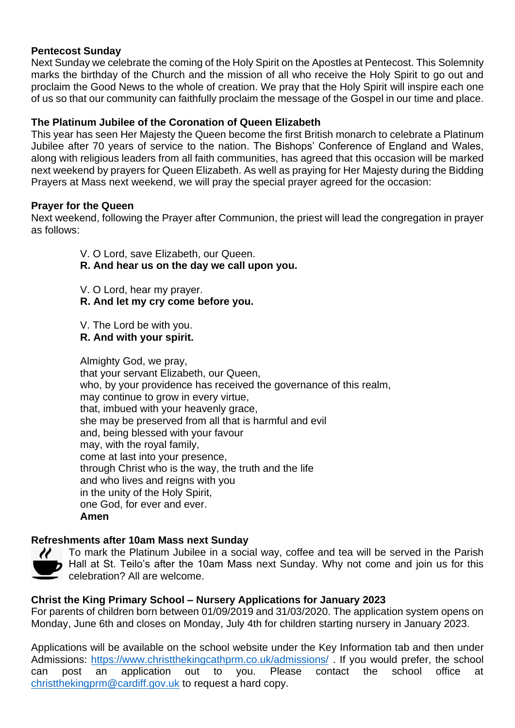### **Pentecost Sunday**

Next Sunday we celebrate the coming of the Holy Spirit on the Apostles at Pentecost. This Solemnity marks the birthday of the Church and the mission of all who receive the Holy Spirit to go out and proclaim the Good News to the whole of creation. We pray that the Holy Spirit will inspire each one of us so that our community can faithfully proclaim the message of the Gospel in our time and place.

### **The Platinum Jubilee of the Coronation of Queen Elizabeth**

This year has seen Her Majesty the Queen become the first British monarch to celebrate a Platinum Jubilee after 70 years of service to the nation. The Bishops' Conference of England and Wales, along with religious leaders from all faith communities, has agreed that this occasion will be marked next weekend by prayers for Queen Elizabeth. As well as praying for Her Majesty during the Bidding Prayers at Mass next weekend, we will pray the special prayer agreed for the occasion:

### **Prayer for the Queen**

Next weekend, following the Prayer after Communion, the priest will lead the congregation in prayer as follows:

V. O Lord, save Elizabeth, our Queen.

## **R. And hear us on the day we call upon you.**

- V. O Lord, hear my prayer.
- **R. And let my cry come before you.**
- V. The Lord be with you.
- **R. And with your spirit.**

Almighty God, we pray, that your servant Elizabeth, our Queen, who, by your providence has received the governance of this realm, may continue to grow in every virtue, that, imbued with your heavenly grace, she may be preserved from all that is harmful and evil and, being blessed with your favour may, with the royal family, come at last into your presence, through Christ who is the way, the truth and the life and who lives and reigns with you in the unity of the Holy Spirit, one God, for ever and ever. **Amen**

## **Refreshments after 10am Mass next Sunday**



To mark the Platinum Jubilee in a social way, coffee and tea will be served in the Parish Hall at St. Teilo's after the 10am Mass next Sunday. Why not come and join us for this celebration? All are welcome.

## **Christ the King Primary School – Nursery Applications for January 2023**

For parents of children born between 01/09/2019 and 31/03/2020. The application system opens on Monday, June 6th and closes on Monday, July 4th for children starting nursery in January 2023.

Applications will be available on the school website under the Key Information tab and then under Admissions:<https://www.christthekingcathprm.co.uk/admissions/> . If you would prefer, the school can post an application out to you. Please contact the school office at [christthekingprm@cardiff.gov.uk](mailto:christthekingprm@cardiff.gov.uk) to request a hard copy.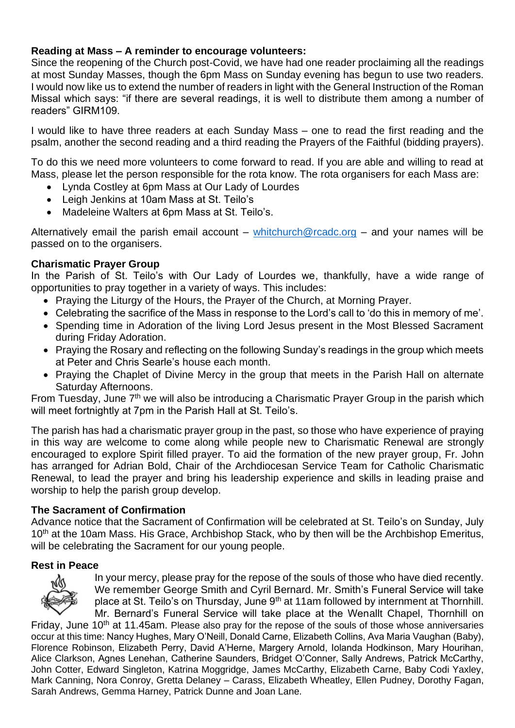### **Reading at Mass – A reminder to encourage volunteers:**

Since the reopening of the Church post-Covid, we have had one reader proclaiming all the readings at most Sunday Masses, though the 6pm Mass on Sunday evening has begun to use two readers. I would now like us to extend the number of readers in light with the General Instruction of the Roman Missal which says: "if there are several readings, it is well to distribute them among a number of readers" GIRM109.

I would like to have three readers at each Sunday Mass – one to read the first reading and the psalm, another the second reading and a third reading the Prayers of the Faithful (bidding prayers).

To do this we need more volunteers to come forward to read. If you are able and willing to read at Mass, please let the person responsible for the rota know. The rota organisers for each Mass are:

- Lynda Costley at 6pm Mass at Our Lady of Lourdes
- Leigh Jenkins at 10am Mass at St. Teilo's
- Madeleine Walters at 6pm Mass at St. Teilo's.

Alternatively email the parish email account – [whitchurch@rcadc.org](mailto:whitchurch@rcadc.org) – and your names will be passed on to the organisers.

### **Charismatic Prayer Group**

In the Parish of St. Teilo's with Our Lady of Lourdes we, thankfully, have a wide range of opportunities to pray together in a variety of ways. This includes:

- Praying the Liturgy of the Hours, the Prayer of the Church, at Morning Prayer.
- Celebrating the sacrifice of the Mass in response to the Lord's call to 'do this in memory of me'.
- Spending time in Adoration of the living Lord Jesus present in the Most Blessed Sacrament during Friday Adoration.
- Praying the Rosary and reflecting on the following Sunday's readings in the group which meets at Peter and Chris Searle's house each month.
- Praying the Chaplet of Divine Mercy in the group that meets in the Parish Hall on alternate Saturday Afternoons.

From Tuesday, June  $7<sup>th</sup>$  we will also be introducing a Charismatic Prayer Group in the parish which will meet fortnightly at 7pm in the Parish Hall at St. Teilo's.

The parish has had a charismatic prayer group in the past, so those who have experience of praying in this way are welcome to come along while people new to Charismatic Renewal are strongly encouraged to explore Spirit filled prayer. To aid the formation of the new prayer group, Fr. John has arranged for Adrian Bold, Chair of the Archdiocesan Service Team for Catholic Charismatic Renewal, to lead the prayer and bring his leadership experience and skills in leading praise and worship to help the parish group develop.

### **The Sacrament of Confirmation**

Advance notice that the Sacrament of Confirmation will be celebrated at St. Teilo's on Sunday, July 10<sup>th</sup> at the 10am Mass. His Grace, Archbishop Stack, who by then will be the Archbishop Emeritus, will be celebrating the Sacrament for our young people.

### **Rest in Peace**



In your mercy, please pray for the repose of the souls of those who have died recently. We remember George Smith and Cyril Bernard. Mr. Smith's Funeral Service will take place at St. Teilo's on Thursday, June 9<sup>th</sup> at 11am followed by internment at Thornhill. Mr. Bernard's Funeral Service will take place at the Wenallt Chapel, Thornhill on

Friday, June 10<sup>th</sup> at 11.45am. Please also pray for the repose of the souls of those whose anniversaries occur at this time: Nancy Hughes, Mary O'Neill, Donald Carne, Elizabeth Collins, Ava Maria Vaughan (Baby), Florence Robinson, Elizabeth Perry, David A'Herne, Margery Arnold, Iolanda Hodkinson, Mary Hourihan, Alice Clarkson, Agnes Lenehan, Catherine Saunders, Bridget O'Conner, Sally Andrews, Patrick McCarthy, John Cotter, Edward Singleton, Katrina Moggridge, James McCarthy, Elizabeth Carne, Baby Codi Yaxley, Mark Canning, Nora Conroy, Gretta Delaney – Carass, Elizabeth Wheatley, Ellen Pudney, Dorothy Fagan, Sarah Andrews, Gemma Harney, Patrick Dunne and Joan Lane.